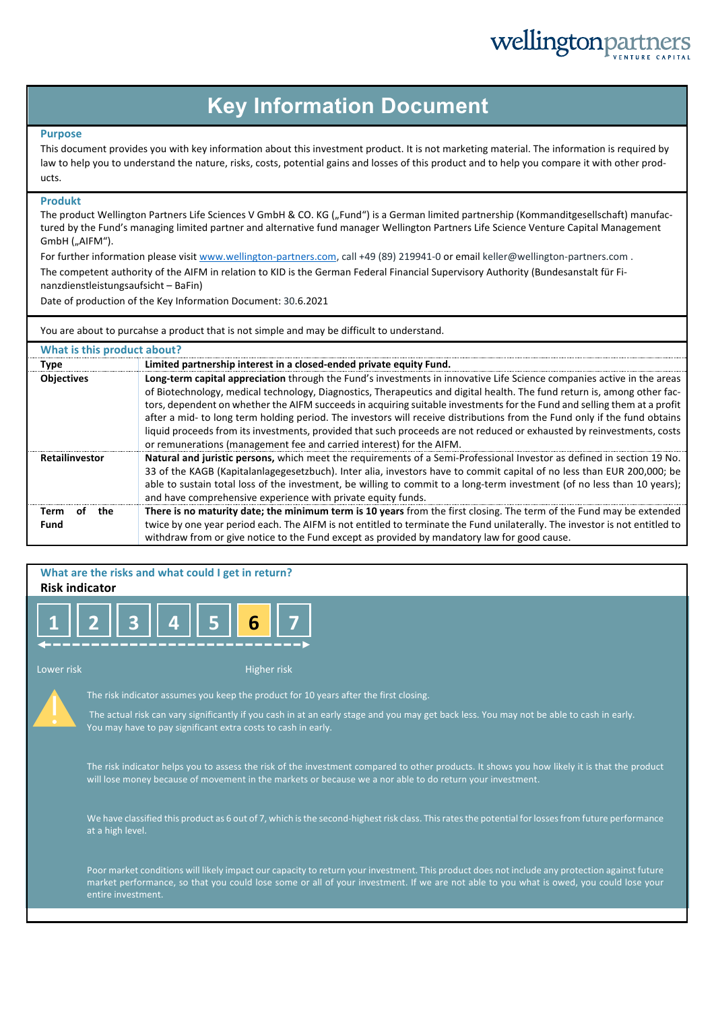# wellingtonpa

### **Key Information Document**

#### **Purpose**

This document provides you with key information about this investment product. It is not marketing material. The information is required by law to help you to understand the nature, risks, costs, potential gains and losses of this product and to help you compare it with other products.

#### **Produkt**

The product Wellington Partners Life Sciences V GmbH & CO. KG ("Fund") is a German limited partnership (Kommanditgesellschaft) manufactured by the Fund's managing limited partner and alternative fund manager Wellington Partners Life Science Venture Capital Management GmbH ("AIFM").

For further information please visit www.wellington-partners.com, call +49 (89) 219941-0 or email keller@wellington-partners.com .

The competent authority of the AIFM in relation to KID is the German Federal Financial Supervisory Authority (Bundesanstalt für Finanzdienstleistungsaufsicht – BaFin)

Date of production of the Key Information Document: 30.6.2021

You are about to purcahse a product that is not simple and may be difficult to understand.

| What is this product about? |                                                                                                                                                                                                                                                                                                                                                                                                                                                                                                                                                                                                                                                                                                               |  |  |  |
|-----------------------------|---------------------------------------------------------------------------------------------------------------------------------------------------------------------------------------------------------------------------------------------------------------------------------------------------------------------------------------------------------------------------------------------------------------------------------------------------------------------------------------------------------------------------------------------------------------------------------------------------------------------------------------------------------------------------------------------------------------|--|--|--|
| <b>Type</b>                 | Limited partnership interest in a closed-ended private equity Fund.                                                                                                                                                                                                                                                                                                                                                                                                                                                                                                                                                                                                                                           |  |  |  |
| <b>Objectives</b>           | Long-term capital appreciation through the Fund's investments in innovative Life Science companies active in the areas<br>of Biotechnology, medical technology, Diagnostics, Therapeutics and digital health. The fund return is, among other fac-<br>tors, dependent on whether the AIFM succeeds in acquiring suitable investments for the Fund and selling them at a profit<br>after a mid- to long term holding period. The investors will receive distributions from the Fund only if the fund obtains<br>liquid proceeds from its investments, provided that such proceeds are not reduced or exhausted by reinvestments, costs<br>or remunerations (management fee and carried interest) for the AIFM. |  |  |  |
| Retailinvestor              | Natural and juristic persons, which meet the requirements of a Semi-Professional Investor as defined in section 19 No.<br>33 of the KAGB (Kapitalanlagegesetzbuch). Inter alia, investors have to commit capital of no less than EUR 200,000; be<br>able to sustain total loss of the investment, be willing to commit to a long-term investment (of no less than 10 years);<br>and have comprehensive experience with private equity funds.                                                                                                                                                                                                                                                                  |  |  |  |
| the<br>Term<br>ΩŤ<br>Fund   | There is no maturity date; the minimum term is 10 years from the first closing. The term of the Fund may be extended<br>twice by one year period each. The AIFM is not entitled to terminate the Fund unilaterally. The investor is not entitled to<br>withdraw from or give notice to the Fund except as provided by mandatory law for good cause.                                                                                                                                                                                                                                                                                                                                                           |  |  |  |

### **What are the risks and what could I get in return?**

### **Risk indicator**

| __ |  |  |  |
|----|--|--|--|

Lower risk Higher risk Higher risk



The risk indicator assumes you keep the product for 10 years after the first closing.

The actual risk can vary significantly if you cash in at an early stage and you may get back less. You may not be able to cash in early. You may have to pay significant extra costs to cash in early.

The risk indicator helps you to assess the risk of the investment compared to other products. It shows you how likely it is that the product will lose money because of movement in the markets or because we a nor able to do return your investment.

We have classified this product as 6 out of 7, which is the second-highest risk class. This rates the potential for losses from future performance at a high level.

Poor market conditions will likely impact our capacity to return your investment. This product does not include any protection against future market performance, so that you could lose some or all of your investment. If we are not able to you what is owed, you could lose your entire investment.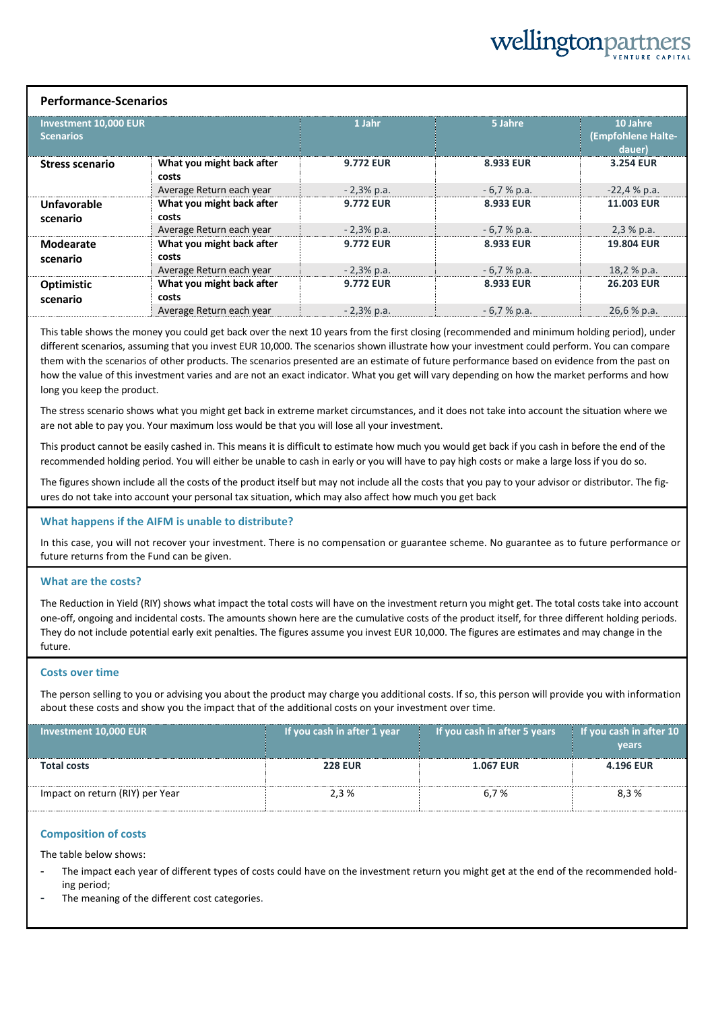# wellingtonpa

#### **Performance-Scenarios**

| Investment 10,000 EUR<br><b>Scenarios</b> |                                    | 1 Jahr           | 5 Jahre      | 10 Jahre<br>(Empfohlene Halte-<br>dauer) |
|-------------------------------------------|------------------------------------|------------------|--------------|------------------------------------------|
| <b>Stress scenario</b>                    | What you might back after<br>costs | <b>9.772 EUR</b> | 8.933 EUR    | 3.254 EUR                                |
|                                           | Average Return each year           | $-2,3\%$ p.a.    | $-6,7%$ p.a. | $-22,4%p.a.$                             |
| Unfavorable<br>scenario                   | What you might back after<br>costs | <b>9.772 EUR</b> | 8.933 EUR    | <b>11.003 EUR</b>                        |
|                                           | Average Return each year           | $-2,3%$ p.a.     | $-6,7%$ p.a. | 2,3%p.a.                                 |
| Modearate<br>scenario                     | What you might back after<br>costs | <b>9.772 EUR</b> | 8.933 EUR    | <b>19.804 EUR</b>                        |
|                                           | Average Return each year           | $-2,3%$ p.a.     | $-6,7%$ p.a. | 18,2 % p.a.                              |
| <b>Optimistic</b><br>scenario             | What you might back after<br>costs | <b>9.772 EUR</b> | 8.933 EUR    | <b>26.203 EUR</b>                        |
|                                           | Average Return each year           | $-2,3%$ p.a.     | $-6.7%$ p.a. | 26,6 % p.a.                              |

This table shows the money you could get back over the next 10 years from the first closing (recommended and minimum holding period), under different scenarios, assuming that you invest EUR 10,000. The scenarios shown illustrate how your investment could perform. You can compare them with the scenarios of other products. The scenarios presented are an estimate of future performance based on evidence from the past on how the value of this investment varies and are not an exact indicator. What you get will vary depending on how the market performs and how long you keep the product.

The stress scenario shows what you might get back in extreme market circumstances, and it does not take into account the situation where we are not able to pay you. Your maximum loss would be that you will lose all your investment.

This product cannot be easily cashed in. This means it is difficult to estimate how much you would get back if you cash in before the end of the recommended holding period. You will either be unable to cash in early or you will have to pay high costs or make a large loss if you do so.

The figures shown include all the costs of the product itself but may not include all the costs that you pay to your advisor or distributor. The figures do not take into account your personal tax situation, which may also affect how much you get back

#### **What happens if the AIFM is unable to distribute?**

In this case, you will not recover your investment. There is no compensation or guarantee scheme. No guarantee as to future performance or future returns from the Fund can be given.

#### **What are the costs?**

The Reduction in Yield (RIY) shows what impact the total costs will have on the investment return you might get. The total costs take into account one-off, ongoing and incidental costs. The amounts shown here are the cumulative costs of the product itself, for three different holding periods. They do not include potential early exit penalties. The figures assume you invest EUR 10,000. The figures are estimates and may change in the future.

#### **Costs over time**

The person selling to you or advising you about the product may charge you additional costs. If so, this person will provide you with information about these costs and show you the impact that of the additional costs on your investment over time.

| Investment 10,000 EUR           | If you cash in after 1 year | If you cash in after 5 years | If you cash in after $10$<br><b>vears</b> |
|---------------------------------|-----------------------------|------------------------------|-------------------------------------------|
| <b>Total costs</b>              | <b>228 EUR</b>              | <b>1.067 EUR</b>             | <b>4.196 EUR</b>                          |
| Impact on return (RIY) per Year | 2.3%                        | 6.7%                         | 8.3%                                      |

#### **Composition of costs**

The table below shows:

- The impact each year of different types of costs could have on the investment return you might get at the end of the recommended holding period;
- The meaning of the different cost categories.